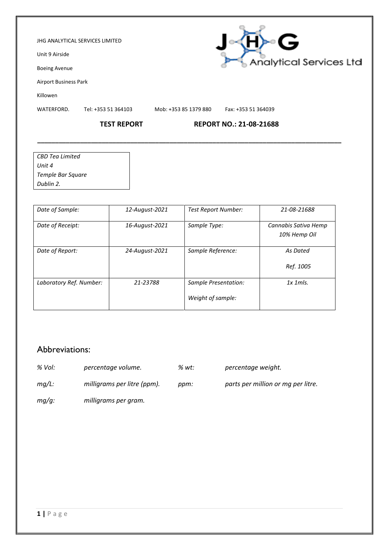### JHG ANALYTICAL SERVICES LIMITED

Unit 9 Airside

Boeing Avenue

Airport Business Park

Killowen

WATERFORD. Tel: +353 51 364103 Mob: +353 85 1379 880 Fax: +353 51 364039

**\_\_\_\_\_\_\_\_\_\_\_\_\_\_\_\_\_\_\_\_\_\_\_\_\_\_\_\_\_\_\_\_\_\_\_\_\_\_\_\_\_\_\_\_\_\_\_\_\_\_\_\_\_\_\_\_\_\_\_\_\_\_\_\_\_\_\_\_\_\_\_\_\_\_\_\_\_\_\_\_\_\_\_\_\_**

F≻∘G

Analytical Services Ltd

# **TEST REPORT REPORT NO.: 21-08-21688**

| CBD Tea Limited   |  |
|-------------------|--|
| Unit 4            |  |
| Temple Bar Square |  |
| Dublin 2.         |  |

| Date of Sample:         | 12-August-2021 | <b>Test Report Number:</b>                | 21-08-21688                          |
|-------------------------|----------------|-------------------------------------------|--------------------------------------|
| Date of Receipt:        | 16-August-2021 | Sample Type:                              | Cannabis Sativa Hemp<br>10% Hemp Oil |
| Date of Report:         | 24-August-2021 | Sample Reference:                         | As Dated<br>Ref. 1005                |
| Laboratory Ref. Number: | 21-23788       | Sample Presentation:<br>Weight of sample: | $1x$ 1 m/s.                          |

# Abbreviations:

*% Vol: percentage volume. % wt: percentage weight.*

- *mg/L: milligrams per litre (ppm). ppm: parts per million or mg per litre.*
	- *mg/g: milligrams per gram.*